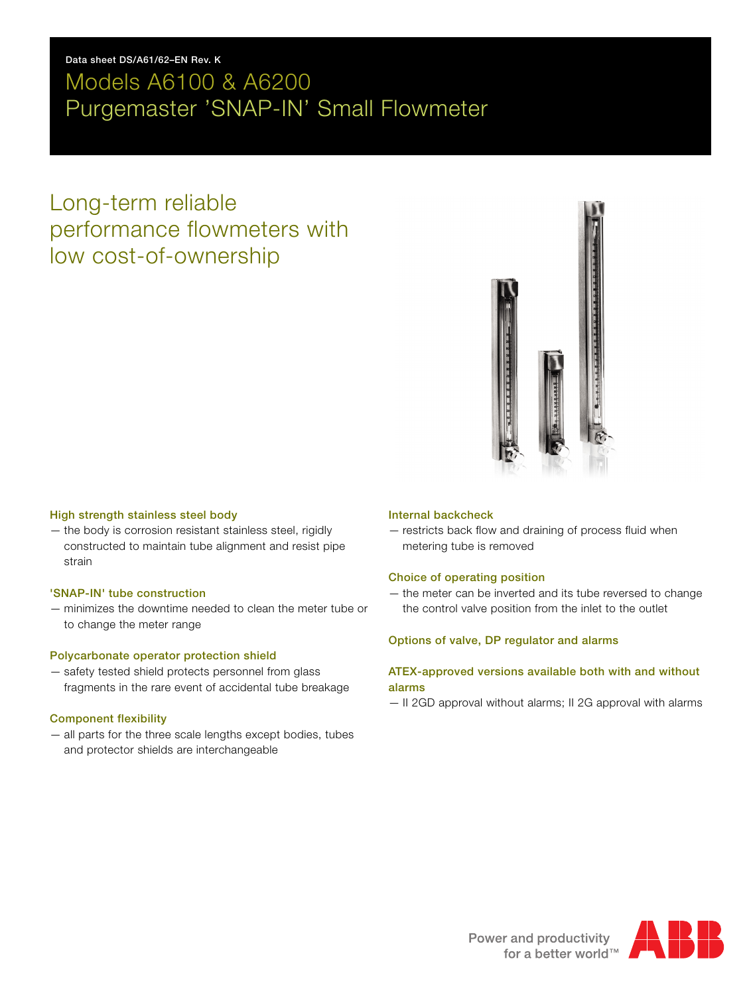## **Data sheet DS/A61/62–EN Rev. K**

# Models A6100 & A6200 Purgemaster 'SNAP-IN' Small Flowmeter

# Long-term reliable performance flowmeters with low cost-of-ownership



## **High strength stainless steel body**

— the body is corrosion resistant stainless steel, rigidly constructed to maintain tube alignment and resist pipe strain

## **'SNAP-IN' tube construction**

— minimizes the downtime needed to clean the meter tube or to change the meter range

## **Polycarbonate operator protection shield**

— safety tested shield protects personnel from glass fragments in the rare event of accidental tube breakage

## **Component flexibility**

— all parts for the three scale lengths except bodies, tubes and protector shields are interchangeable

## **Internal backcheck**

— restricts back flow and draining of process fluid when metering tube is removed

## **Choice of operating position**

— the meter can be inverted and its tube reversed to change the control valve position from the inlet to the outlet

## **Options of valve, DP regulator and alarms**

## **ATEX-approved versions available both with and without alarms**

— II 2GD approval without alarms; II 2G approval with alarms

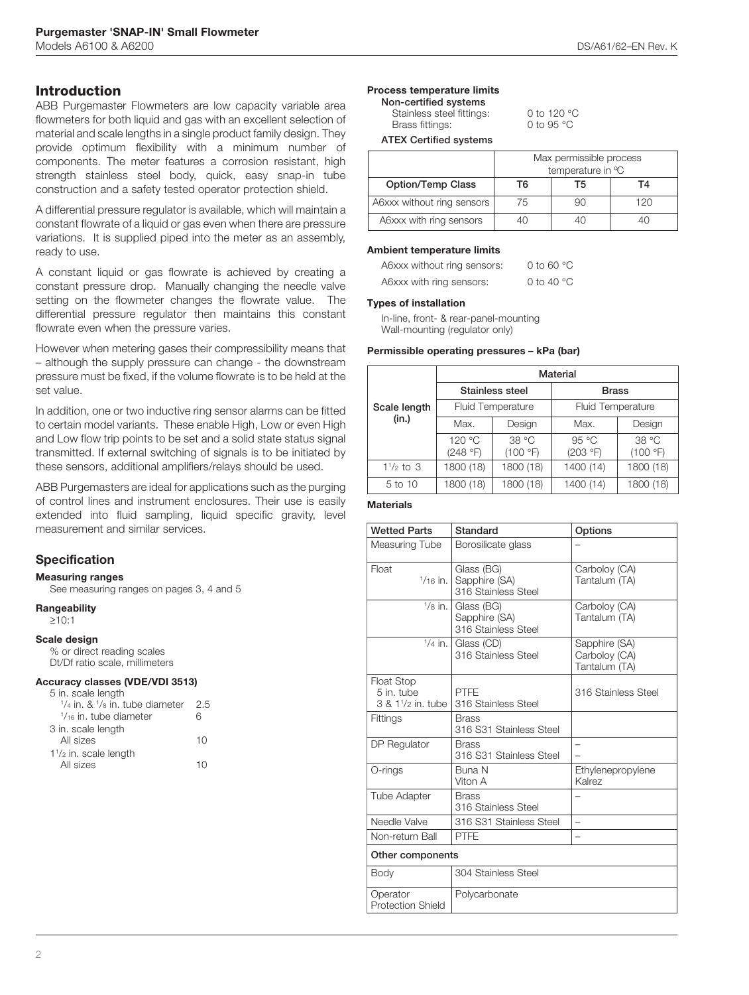## **Introduction**

ABB Purgemaster Flowmeters are low capacity variable area flowmeters for both liquid and gas with an excellent selection of material and scale lengths in a single product family design. They provide optimum flexibility with a minimum number of components. The meter features a corrosion resistant, high strength stainless steel body, quick, easy snap-in tube construction and a safety tested operator protection shield.

A differential pressure regulator is available, which will maintain a constant flowrate of a liquid or gas even when there are pressure variations. It is supplied piped into the meter as an assembly, ready to use.

A constant liquid or gas flowrate is achieved by creating a constant pressure drop. Manually changing the needle valve setting on the flowmeter changes the flowrate value. The differential pressure regulator then maintains this constant flowrate even when the pressure varies.

However when metering gases their compressibility means that – although the supply pressure can change - the downstream pressure must be fixed, if the volume flowrate is to be held at the set value.

In addition, one or two inductive ring sensor alarms can be fitted to certain model variants. These enable High, Low or even High and Low flow trip points to be set and a solid state status signal transmitted. If external switching of signals is to be initiated by these sensors, additional amplifiers/relays should be used.

ABB Purgemasters are ideal for applications such as the purging of control lines and instrument enclosures. Their use is easily extended into fluid sampling, liquid specific gravity, level measurement and similar services.

## **Specification**

**Measuring ranges**

See measuring ranges on pages 3, 4 and 5

**Rangeability** ≥10:1

## **Scale design**

% or direct reading scales Dt/Df ratio scale, millimeters

#### **Accuracy classes (VDE/VDI 3513)**

| 5 in. scale length                  |     |
|-------------------------------------|-----|
| $1/4$ in. & $1/8$ in. tube diameter | 2.5 |
| $\frac{1}{16}$ in. tube diameter    | հ   |
| 3 in. scale length                  |     |
| All sizes                           | 10  |
| $1\frac{1}{2}$ in. scale length     |     |
| All sizes                           |     |

## **Process temperature limits**

**Non-certified systems** Stainless steel fittings: 0 to 120 °C<br>Brass fittings: 0 to 95 °C Brass fittings:

**ATEX Certified s** 

| systems |             |
|---------|-------------|
|         | May narmies |

|                            | Max permissible process<br>temperature in °C |  |     |  |  |
|----------------------------|----------------------------------------------|--|-----|--|--|
| Option/Temp Class          | Т6<br>Т5<br>TΔ                               |  |     |  |  |
| A6xxx without ring sensors | 75                                           |  | 120 |  |  |
| A6xxx with ring sensors    |                                              |  |     |  |  |

### **Ambient temperature limits**

| A6xxx without ring sensors: | 0 to 60 $\degree$ C  |
|-----------------------------|----------------------|
| A6xxx with ring sensors:    | 0 to 40 $^{\circ}$ C |

### **Types of installation**

In-line, front- & rear-panel-mounting Wall-mounting (regulator only)

### **Permissible operating pressures – kPa (bar)**

|                     | Material  |                          |                          |           |  |  |  |
|---------------------|-----------|--------------------------|--------------------------|-----------|--|--|--|
|                     |           | Stainless steel          | <b>Brass</b>             |           |  |  |  |
| Scale length        |           | <b>Fluid Temperature</b> | <b>Fluid Temperature</b> |           |  |  |  |
| (in.)               | Max.      | Design                   | Max.                     | Design    |  |  |  |
|                     | 120 °C    | 38 °C                    | 95 °C                    | 38 °C     |  |  |  |
|                     | (248 °F)  | (100 °F)                 | (203 °F)                 | (100 °F)  |  |  |  |
| $1\frac{1}{2}$ to 3 | 1800 (18) | 1800 (18)                | 1400 (14)                | 1800 (18) |  |  |  |
| 5 to 10             | 1800 (18) | 1800 (18)                | 1400 (14)                | 1800 (18) |  |  |  |

### **Materials**

| <b>Wetted Parts</b>                                               | Standard                                           | Options                                         |  |  |  |
|-------------------------------------------------------------------|----------------------------------------------------|-------------------------------------------------|--|--|--|
| Measuring Tube                                                    | Borosilicate glass                                 |                                                 |  |  |  |
| Float<br>$1/16$ in.                                               | Glass (BG)<br>Sapphire (SA)<br>316 Stainless Steel | Carboloy (CA)<br>Tantalum (TA)                  |  |  |  |
| $1/8$ in.                                                         | Glass (BG)<br>Sapphire (SA)<br>316 Stainless Steel | Carboloy (CA)<br>Tantalum (TA)                  |  |  |  |
| $1/4$ in.                                                         | Glass (CD)<br>316 Stainless Steel                  | Sapphire (SA)<br>Carboloy (CA)<br>Tantalum (TA) |  |  |  |
| <b>Float Stop</b><br>5 in. tube<br>3 & 1 <sup>1</sup> /2 in, tube | PTFF<br>316 Stainless Steel                        | 316 Stainless Steel                             |  |  |  |
| Fittings                                                          | <b>Brass</b><br>316 S31 Stainless Steel            |                                                 |  |  |  |
| DP Regulator                                                      | <b>Brass</b><br>316 S31 Stainless Steel            |                                                 |  |  |  |
| O-rings                                                           | <b>Buna N</b><br>Viton A                           | Ethylenepropylene<br>Kalrez                     |  |  |  |
| <b>Tube Adapter</b>                                               | <b>Brass</b><br>316 Stainless Steel                |                                                 |  |  |  |
| Needle Valve                                                      | 316 S31 Stainless Steel                            | $\overline{\phantom{0}}$                        |  |  |  |
| Non-return Ball                                                   | PTFE                                               |                                                 |  |  |  |
| Other components                                                  |                                                    |                                                 |  |  |  |
| Body                                                              | 304 Stainless Steel                                |                                                 |  |  |  |
| Operator<br><b>Protection Shield</b>                              | Polycarbonate                                      |                                                 |  |  |  |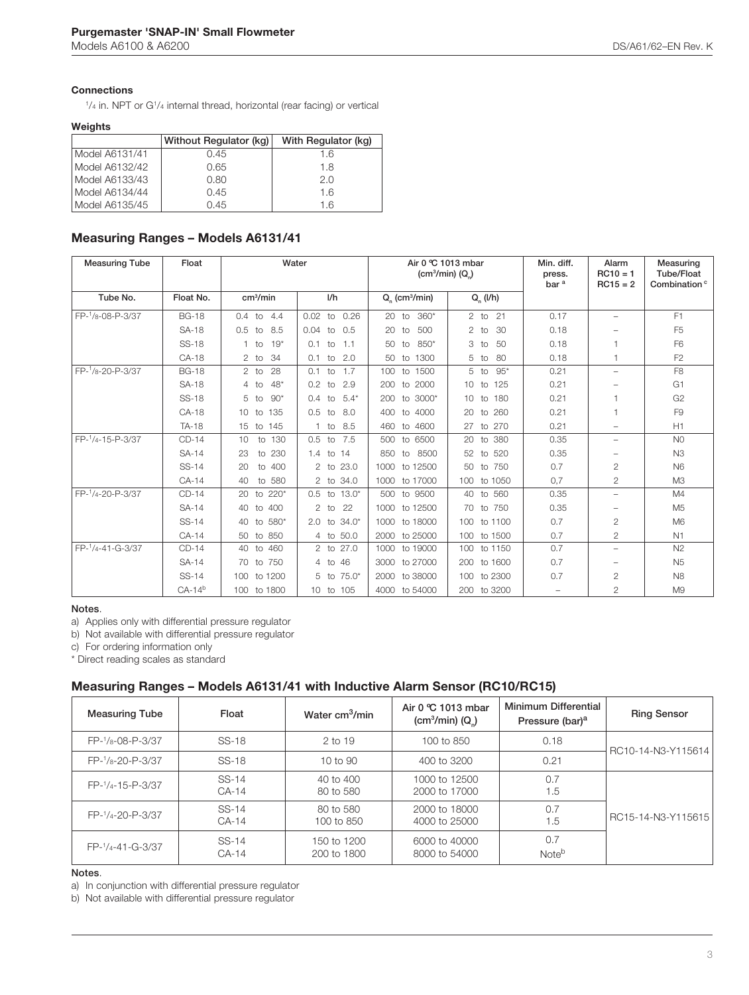## **Connections**

1 /4 in. NPT or G1/4 internal thread, horizontal (rear facing) or vertical

### **Weights**

|                | Without Regulator (kg) | With Regulator (kg) |
|----------------|------------------------|---------------------|
| Model A6131/41 | 0.45                   | 1.6                 |
| Model A6132/42 | 0.65                   | 1.8                 |
| Model A6133/43 | 0.80                   | 2.0                 |
| Model A6134/44 | 0.45                   | 1.6                 |
| Model A6135/45 | 0.45                   | 1.6                 |

### **Measuring Ranges – Models A6131/41**

| <b>Measuring Tube</b> | Float        | Water                        |                               | Air 0 °C 1013 mbar<br>(cm <sup>3</sup> /min) $(Q_n)$ |                              | Min. diff.<br>press.<br>bar <sup>a</sup> | Alarm<br>$RC10 = 1$<br>$RC15 = 2$ | Measuring<br><b>Tube/Float</b><br>Combination <sup>c</sup> |
|-----------------------|--------------|------------------------------|-------------------------------|------------------------------------------------------|------------------------------|------------------------------------------|-----------------------------------|------------------------------------------------------------|
| Tube No.              | Float No.    | cm <sup>3</sup> /min         | I/h                           | $Q_{n}$ (cm <sup>3</sup> /min)                       | $Q_n$ (I/h)                  |                                          |                                   |                                                            |
| FP-1/8-08-P-3/37      | <b>BG-18</b> | $0.4$ to $4.4$               | 0.02<br>to 0.26               | 20 to 360*                                           | 2 to 21                      | 0.17                                     | $\overline{\phantom{0}}$          | F <sub>1</sub>                                             |
|                       | <b>SA-18</b> | 8.5<br>0.5<br>to             | $0.04$ to $0.5$               | 500<br>20<br>to                                      | 30<br>2<br>to                | 0.18                                     | $\overline{\phantom{0}}$          | F <sub>5</sub>                                             |
|                       | <b>SS-18</b> | $19*$<br>to<br>1.            | 0.1<br>$-1.1$<br>to           | 850*<br>50<br>to                                     | 3<br>50<br>to                | 0.18                                     |                                   | F <sub>6</sub>                                             |
|                       | CA-18        | 34<br>$2$ to                 | to 2.0<br>0.1                 | to 1300<br>50                                        | 80<br>5<br>to                | 0.18                                     | 1                                 | F <sub>2</sub>                                             |
| FP-1/8-20-P-3/37      | <b>BG-18</b> | 28<br>$2$ to                 | 0.1<br>1.7<br>to              | 100 to 1500                                          | $95*$<br>5 to                | 0.21                                     | $\overline{\phantom{a}}$          | F <sub>8</sub>                                             |
|                       | <b>SA-18</b> | $48*$<br>to<br>4             | 0.2<br>2.9<br>to              | 200<br>to 2000                                       | 10 <sup>°</sup><br>125<br>to | 0.21                                     |                                   | G <sub>1</sub>                                             |
|                       | <b>SS-18</b> | $90*$<br>5<br>to             | $5.4*$<br>$0.4^{\circ}$<br>to | 200 to 3000*                                         | 10 to 180                    | 0.21                                     |                                   | G <sub>2</sub>                                             |
|                       | CA-18        | 135<br>10 <sup>°</sup><br>to | 0.5<br>8.0<br>to              | to 4000<br>400                                       | to 260<br>20                 | 0.21                                     |                                   | F <sub>9</sub>                                             |
|                       | <b>TA-18</b> | 15 to 145                    | 1 to 8.5                      | 460 to 4600                                          | 27<br>to 270                 | 0.21                                     | $\overline{\phantom{0}}$          | H1                                                         |
| FP-1/4-15-P-3/37      | $CD-14$      | 10<br>to 130                 | 7.5<br>0.5<br>to              | to 6500<br>500                                       | to 380<br>20                 | 0.35                                     | $\overline{\phantom{m}}$          | N <sub>0</sub>                                             |
|                       | SA-14        | 230<br>23<br>to              | 1.4 to 14                     | 850 to<br>8500                                       | 52<br>to 520                 | 0.35                                     |                                   | N <sub>3</sub>                                             |
|                       | SS-14        | 400<br>20<br>to              | 2 to 23.0                     | 1000 to 12500                                        | to 750<br>50                 | 0.7                                      | $\overline{2}$                    | N <sub>6</sub>                                             |
|                       | CA-14        | 40<br>to 580                 | 2 to 34.0                     | 1000 to 17000                                        | 100 to 1050                  | 0.7                                      | $\overline{2}$                    | M <sub>3</sub>                                             |
| FP-1/4-20-P-3/37      | $CD-14$      | to 220*<br>20                | $0.5$ to $13.0*$              | 500<br>to 9500                                       | to 560<br>40                 | 0.35                                     | $\overline{\phantom{0}}$          | M4                                                         |
|                       | SA-14        | to 400<br>40                 | $2$ to<br>- 22                | 1000 to 12500                                        | 70 to 750                    | 0.35                                     |                                   | M <sub>5</sub>                                             |
|                       | SS-14        | 580*<br>40<br>to             | to 34.0*<br>2.0               | 1000<br>to 18000                                     | 100 to 1100                  | 0.7                                      | $\mathbf{2}$                      | M6                                                         |
|                       | $CA-14$      | 50 to 850                    | 4 to 50.0                     | 2000 to 25000                                        | 100 to 1500                  | 0.7                                      | $\overline{2}$                    | N1                                                         |
| FP-1/4-41-G-3/37      | $CD-14$      | to 460<br>40                 | 2 to 27.0                     | 1000<br>to 19000                                     | 100 to 1150                  | 0.7                                      | $\overline{\phantom{0}}$          | N <sub>2</sub>                                             |
|                       | SA-14        | 70 to 750                    | 46<br>$4$ to                  | 3000 to 27000                                        | 200 to 1600                  | 0.7                                      | $\overline{\phantom{0}}$          | N <sub>5</sub>                                             |
|                       | SS-14        | to 1200<br>$100 -$           | $75.0*$<br>$5$ to             | to 38000<br>2000                                     | 100 to 2300                  | 0.7                                      | $\overline{2}$                    | <b>N8</b>                                                  |
|                       | $CA-14b$     | 100 to 1800                  | 10 to 105                     | 4000 to 54000                                        | 200 to 3200                  | $\overline{\phantom{0}}$                 | $\mathbf{2}$                      | M <sub>9</sub>                                             |

#### **Notes**.

a) Applies only with differential pressure regulator

b) Not available with differential pressure regulator

c) For ordering information only

\* Direct reading scales as standard

## **Measuring Ranges – Models A6131/41 with Inductive Alarm Sensor (RC10/RC15)**

| <b>Measuring Tube</b> | Float            | Water cm <sup>3</sup> /min | Air 0 °C 1013 mbar<br>(cm <sup>3</sup> /min) (Q <sub>n</sub> ) | Minimum Differential<br>Pressure (bar) <sup>a</sup> | <b>Ring Sensor</b> |  |
|-----------------------|------------------|----------------------------|----------------------------------------------------------------|-----------------------------------------------------|--------------------|--|
| FP-1/8-08-P-3/37      | SS-18            | $2$ to 19                  | 100 to 850                                                     | 0.18                                                | RC10-14-N3-Y115614 |  |
| FP-1/8-20-P-3/37      | SS-18            | 10 to $90$                 | 400 to 3200                                                    | 0.21                                                |                    |  |
| FP-1/4-15-P-3/37      | SS-14<br>$CA-14$ | 40 to 400<br>80 to 580     | 1000 to 12500<br>2000 to 17000                                 | 0.7<br>1.5                                          |                    |  |
| FP-1/4-20-P-3/37      | SS-14<br>$CA-14$ | 80 to 580<br>100 to 850    | 2000 to 18000<br>4000 to 25000                                 | 0.7<br>1.5                                          | RC15-14-N3-Y115615 |  |
| FP-1/4-41-G-3/37      | SS-14<br>$CA-14$ | 150 to 1200<br>200 to 1800 | 6000 to 40000<br>8000 to 54000                                 | 0.7<br>Note <sup>b</sup>                            |                    |  |

### **Notes**.

a) In conjunction with differential pressure regulator

b) Not available with differential pressure regulator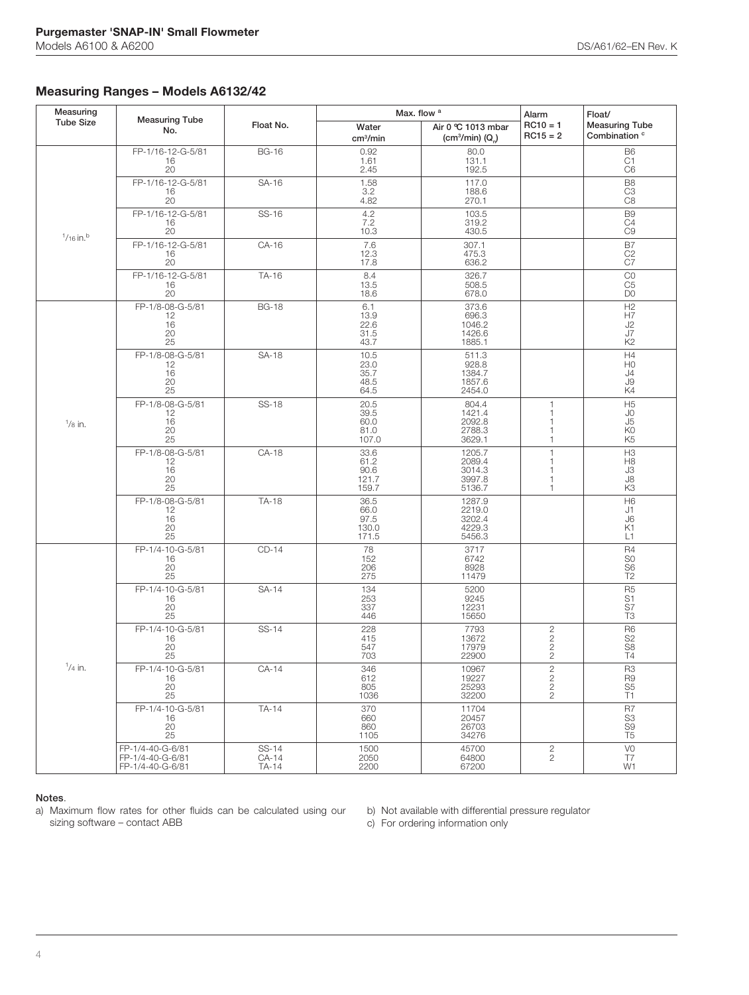## **Measuring Ranges – Models A6132/42**

| Measuring               |                                                          |                         | Max. flow <sup>a</sup>                 |                                                                |                                               | Float/                                                |
|-------------------------|----------------------------------------------------------|-------------------------|----------------------------------------|----------------------------------------------------------------|-----------------------------------------------|-------------------------------------------------------|
| <b>Tube Size</b>        | <b>Measuring Tube</b><br>No.                             | Float No.               | Water<br>cm <sup>3</sup> /min          | Air 0 °C 1013 mbar<br>(cm <sup>3</sup> /min) (Q <sub>n</sub> ) | $RC10 = 1$<br>$RC15 = 2$                      | <b>Measuring Tube</b><br>Combination <sup>c</sup>     |
|                         | FP-1/16-12-G-5/81<br>16<br>20                            | <b>BG-16</b>            | 0.92<br>1.61<br>2.45                   | 80.0<br>131.1<br>192.5                                         |                                               | B6<br>C1<br>C <sub>6</sub>                            |
|                         | FP-1/16-12-G-5/81<br>16<br>20                            | SA-16                   | 1.58<br>3.2<br>4.82                    | 117.0<br>188.6<br>270.1                                        |                                               | B <sub>8</sub><br>C <sub>3</sub><br>C <sub>8</sub>    |
|                         | FP-1/16-12-G-5/81<br>16<br>20                            | SS-16                   | 4.2<br>$7.2$<br>10.3                   | 103.5<br>319.2<br>430.5                                        |                                               | B <sub>9</sub><br>C4<br>$\overline{C}9$               |
| $1/16$ in. <sup>b</sup> | FP-1/16-12-G-5/81<br>16<br>20                            | CA-16                   | 7.6<br>12.3<br>17.8                    | 307.1<br>475.3<br>636.2                                        |                                               | B7<br>$\frac{C2}{C7}$                                 |
|                         | FP-1/16-12-G-5/81<br>16<br>20                            | TA-16                   | 8.4<br>13.5<br>18.6                    | 326.7<br>508.5<br>678.0                                        |                                               | $_{C5}^{CO}$<br>D <sub>0</sub>                        |
|                         | FP-1/8-08-G-5/81<br>12<br>16<br>20 <sup>2</sup><br>25    | <b>BG-18</b>            | 6.1<br>13.9<br>22.6<br>31.5<br>43.7    | 373.6<br>696.3<br>1046.2<br>1426.6<br>1885.1                   |                                               | H2<br>H7<br>J2<br>J7<br>K <sub>2</sub>                |
| $\frac{1}{8}$ in.       | FP-1/8-08-G-5/81<br>12<br>16<br>20<br>25                 | SA-18                   | 10.5<br>23.0<br>35.7<br>48.5<br>64.5   | 511.3<br>928.8<br>1384.7<br>1857.6<br>2454.0                   |                                               | H4<br>H <sub>0</sub><br>J4<br>$\mathsf{J}9$<br>K4     |
|                         | FP-1/8-08-G-5/81<br>12<br>16<br>20<br>25                 | <b>SS-18</b>            | 20.5<br>39.5<br>60.0<br>81.0<br>107.0  | 804.4<br>1421.4<br>2092.8<br>2788.3<br>3629.1                  | 1<br>$\mathbf 1$<br>1<br>1<br>$\mathbf{1}$    | H <sub>5</sub><br>JO.<br>J5<br>K0<br>K <sub>5</sub>   |
|                         | FP-1/8-08-G-5/81<br>12<br>$\frac{16}{20}$<br>25          | CA-18                   | 33.6<br>61.2<br>90.6<br>121.7<br>159.7 | 1205.7<br>2089.4<br>3014.3<br>3997.8<br>5136.7                 | $\mathbf{1}$<br>1<br>1<br>$\overline{1}$<br>1 | H3<br>H8<br>J3<br>J8<br>K <sub>3</sub>                |
|                         | FP-1/8-08-G-5/81<br>12<br>16<br>20<br>25                 | TA-18                   | 36.5<br>66.0<br>97.5<br>130.0<br>171.5 | 1287.9<br>2219.0<br>3202.4<br>4229.3<br>5456.3                 |                                               | H <sub>6</sub><br>J1<br>J6<br>K1<br>L1                |
|                         | FP-1/4-10-G-5/81<br>16<br>20<br>25                       | $CD-14$                 | 78<br>152<br>206<br>275                | 3717<br>6742<br>8928<br>11479                                  |                                               | R4<br>S <sub>0</sub><br>$rac{56}{T2}$                 |
|                         | FP-1/4-10-G-5/81<br>16<br>20<br>25                       | SA-14                   | 134<br>253<br>337<br>446               | 5200<br>9245<br>12231<br>15650                                 |                                               | R <sub>5</sub><br>S1<br>$\overline{\text{S}}$ 7<br>T3 |
| $1/4$ in.               | FP-1/4-10-G-5/81<br>$\frac{16}{20}$<br>25                | SS-14                   | 228<br>415<br>547<br>703               | 7793<br>13672<br>17979<br>22900                                | 2222                                          | R <sub>6</sub><br>S2<br>S8<br>T4                      |
|                         | FP-1/4-10-G-5/81<br>16<br>$\substack{20\\25}$            | $CA-14$                 | 346<br>612<br>805<br>1036              | 10967<br>19227<br>25293<br>32200                               | 2222                                          | $\overline{R3}$<br>R9<br>S5<br>T1                     |
|                         | FP-1/4-10-G-5/81<br>16<br>20<br>25                       | TA-14                   | 370<br>660<br>860<br>1105              | 11704<br>20457<br>26703<br>34276                               |                                               | R7<br>$rac{S3}{S9}$<br>T <sub>5</sub>                 |
|                         | FP-1/4-40-G-6/81<br>FP-1/4-40-G-6/81<br>FP-1/4-40-G-6/81 | SS-14<br>CA-14<br>TA-14 | 1500<br>2050<br>2200                   | 45700<br>64800<br>67200                                        | $\frac{2}{2}$                                 | V <sub>0</sub><br>T7<br>W1                            |

### **Notes**.

a) Maximum flow rates for other fluids can be calculated using our sizing software – contact ABB

b) Not available with differential pressure regulator

c) For ordering information only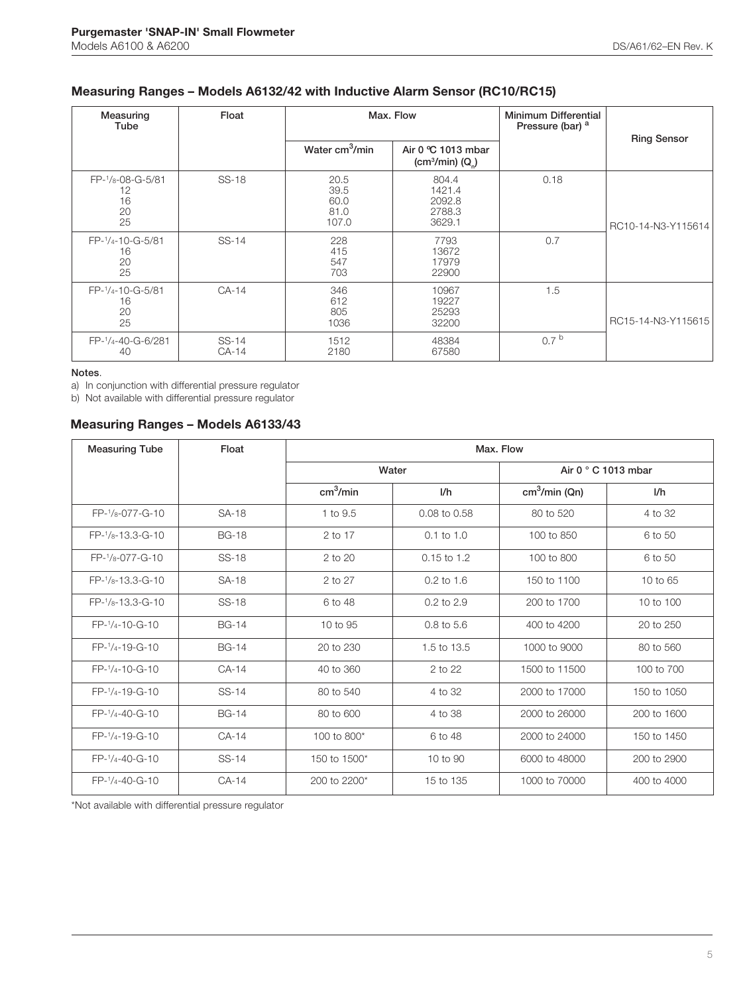## **Measuring Ranges – Models A6132/42 with Inductive Alarm Sensor (RC10/RC15)**

| Measuring<br>Tube                        | Float            | Max. Flow                             |                                                                | Minimum Differential<br>Pressure (bar) <sup>a</sup> | <b>Ring Sensor</b> |
|------------------------------------------|------------------|---------------------------------------|----------------------------------------------------------------|-----------------------------------------------------|--------------------|
|                                          |                  | Water cm <sup>3</sup> /min            | Air 0 °C 1013 mbar<br>(cm <sup>3</sup> /min) (Q <sub>n</sub> ) |                                                     |                    |
| FP-1/8-08-G-5/81<br>12<br>16<br>20<br>25 | <b>SS-18</b>     | 20.5<br>39.5<br>60.0<br>81.0<br>107.0 | 804.4<br>1421.4<br>2092.8<br>2788.3<br>3629.1                  | 0.18                                                | RC10-14-N3-Y115614 |
| FP-1/4-10-G-5/81<br>16<br>20<br>25       | SS-14            | 228<br>415<br>547<br>703              | 7793<br>13672<br>17979<br>22900                                | 0.7                                                 |                    |
| FP-1/4-10-G-5/81<br>16<br>20<br>25       | $CA-14$          | 346<br>612<br>805<br>1036             | 10967<br>19227<br>25293<br>32200                               | 1.5                                                 | RC15-14-N3-Y115615 |
| FP-1/4-40-G-6/281<br>40                  | SS-14<br>$CA-14$ | 1512<br>2180                          | 48384<br>67580                                                 | 0.7 <sup>b</sup>                                    |                    |

### **Notes**.

a) In conjunction with differential pressure regulator

b) Not available with differential pressure regulator

## **Measuring Ranges – Models A6133/43**

| <b>Measuring Tube</b>  | Float        | Max. Flow            |                |                |                             |  |
|------------------------|--------------|----------------------|----------------|----------------|-----------------------------|--|
|                        |              | Water                |                |                | Air 0 $\degree$ C 1013 mbar |  |
|                        |              | cm <sup>3</sup> /min | 1/h            | $cm3/min$ (Qn) | I/h                         |  |
| $FP-1/8-077-G-10$      | SA-18        | 1 to 9.5             | 0.08 to 0.58   | 80 to 520      | 4 to 32                     |  |
| FP-1/8-13.3-G-10       | <b>BG-18</b> | 2 to 17              | $0.1$ to $1.0$ | 100 to 850     | 6 to 50                     |  |
| $FP-1/8-077-G-10$      | SS-18        | $2$ to $20$          | $0.15$ to 1.2  | 100 to 800     | 6 to 50                     |  |
| $FP-1$ / $8-13.3-G-10$ | <b>SA-18</b> | 2 to 27              | $0.2$ to 1.6   | 150 to 1100    | 10 to 65                    |  |
| $FP-1$ / $8-13.3-G-10$ | <b>SS-18</b> | 6 to 48              | $0.2$ to $2.9$ | 200 to 1700    | 10 to 100                   |  |
| $FP-1/4-10-G-10$       | <b>BG-14</b> | 10 to 95             | $0.8$ to 5.6   | 400 to 4200    | 20 to 250                   |  |
| $FP-1/4-19-G-10$       | <b>BG-14</b> | 20 to 230            | 1.5 to 13.5    | 1000 to 9000   | 80 to 560                   |  |
| FP-1/4-10-G-10         | $CA-14$      | 40 to 360            | 2 to 22        | 1500 to 11500  | 100 to 700                  |  |
| $FP-1/4-19-G-10$       | SS-14        | 80 to 540            | 4 to 32        | 2000 to 17000  | 150 to 1050                 |  |
| $FP-1/4-40-G-10$       | <b>BG-14</b> | 80 to 600            | 4 to 38        | 2000 to 26000  | 200 to 1600                 |  |
| FP-1/4-19-G-10         | $CA-14$      | 100 to 800*          | 6 to 48        | 2000 to 24000  | 150 to 1450                 |  |
| FP-1/4-40-G-10         | SS-14        | 150 to 1500*         | 10 to 90       | 6000 to 48000  | 200 to 2900                 |  |
| FP-1/4-40-G-10         | $CA-14$      | 200 to 2200*         | 15 to 135      | 1000 to 70000  | 400 to 4000                 |  |

\*Not available with differential pressure regulator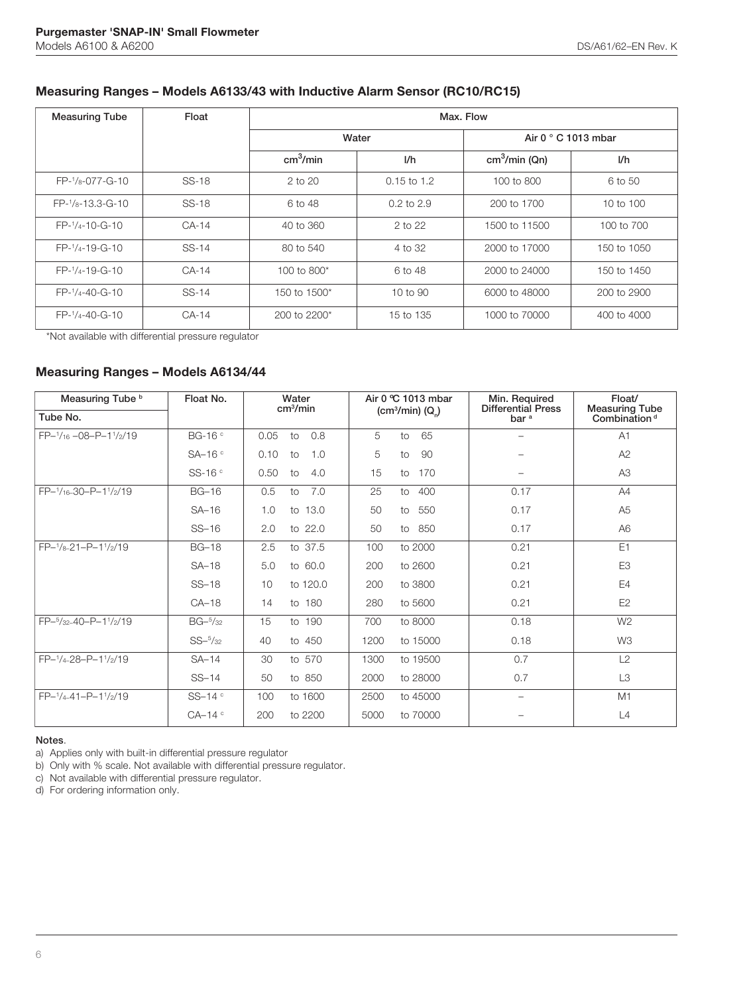## **Measuring Ranges – Models A6133/43 with Inductive Alarm Sensor (RC10/RC15)**

| <b>Measuring Tube</b>  | Float   | Max. Flow            |                |                             |             |  |  |  |
|------------------------|---------|----------------------|----------------|-----------------------------|-------------|--|--|--|
|                        |         | Water                |                | Air 0 $\degree$ C 1013 mbar |             |  |  |  |
|                        |         | cm <sup>3</sup> /min | 1/h            | $cm3/min$ (Qn)              | 1/h         |  |  |  |
| $FP-1/8-077-G-10$      | SS-18   | $2$ to $20$          | $0.15$ to 1.2  | 100 to 800                  | 6 to 50     |  |  |  |
| $FP-1$ / $8-13.3-G-10$ | SS-18   | 6 to 48              | $0.2$ to $2.9$ | 200 to 1700                 | 10 to 100   |  |  |  |
| $FP-1/4-10-G-10$       | $CA-14$ | 40 to 360            | $2$ to $22$    | 1500 to 11500               | 100 to 700  |  |  |  |
| $FP-1/4-19-G-10$       | $SS-14$ | 80 to 540            | 4 to 32        | 2000 to 17000               | 150 to 1050 |  |  |  |
| $FP-1/4-19-G-10$       | $CA-14$ | 100 to 800 $*$       | 6 to 48        | 2000 to 24000               | 150 to 1450 |  |  |  |
| $FP-1/4-40-G-10$       | $SS-14$ | 150 to 1500*         | $10$ to $90$   | 6000 to 48000               | 200 to 2900 |  |  |  |
| FP-1/4-40-G-10         | $CA-14$ | 200 to 2200*         | 15 to 135      | 1000 to 70000               | 400 to 4000 |  |  |  |

\*Not available with differential pressure regulator

## **Measuring Ranges – Models A6134/44**

| Measuring Tube b<br>Float No. |                      | Water<br>cm <sup>3</sup> /min | Air $0 \text{ °C}$ 1013 mbar             | Min. Required<br><b>Differential Press</b> | Float/<br><b>Measuring Tube</b> |  |  |  |
|-------------------------------|----------------------|-------------------------------|------------------------------------------|--------------------------------------------|---------------------------------|--|--|--|
| Tube No.                      |                      |                               | (cm <sup>3</sup> /min) (Q <sub>n</sub> ) | bar <sup>a</sup>                           | Combination <sup>d</sup>        |  |  |  |
| FP-1/16-08-P-11/2/19          | BG-16 °              | 0.05<br>0.8<br>to             | 5<br>65<br>to                            | $\overline{\phantom{0}}$                   | A1                              |  |  |  |
|                               | $SA-16°$             | 0.10<br>1.0<br>to             | 5<br>90<br>to                            |                                            | A2                              |  |  |  |
|                               | SS-16 °              | 0.50<br>4.0<br>to             | 15<br>170<br>$\overline{10}$             |                                            | A <sub>3</sub>                  |  |  |  |
| FP-1/16-30-P-11/2/19          | <b>BG-16</b>         | 0.5<br>7.0<br>to              | 25<br>400<br>$\overline{10}$             | 0.17                                       | A4                              |  |  |  |
|                               | $SA-16$              | 1.0<br>to 13.0                | 50<br>550<br>to                          | 0.17                                       | A <sub>5</sub>                  |  |  |  |
|                               | $SS-16$              | to 22.0<br>2.0                | 50<br>850<br>to                          | 0.17                                       | A <sub>6</sub>                  |  |  |  |
| FP-1/8-21-P-11/2/19           | <b>BG-18</b>         | to 37.5<br>2.5                | 100<br>to 2000                           | 0.21                                       | E1                              |  |  |  |
|                               | $SA-18$              | 5.0<br>to 60.0                | 200<br>to 2600                           | 0.21                                       | E <sub>3</sub>                  |  |  |  |
|                               | $SS-18$              | to 120.0<br>10                | to 3800<br>200                           | 0.21                                       | E4                              |  |  |  |
|                               | $CA-18$              | to 180<br>14                  | to 5600<br>280                           | 0.21                                       | E <sub>2</sub>                  |  |  |  |
| FP-5/32-40-P-11/2/19          | $BG-^{5}/_{32}$      | 15<br>to 190                  | to 8000<br>700                           | 0.18                                       | W <sub>2</sub>                  |  |  |  |
|                               | $SS-^{5}/_{32}$      | to 450<br>40                  | to 15000<br>1200                         | 0.18                                       | W3                              |  |  |  |
| FP-1/4-28-P-11/2/19           | $SA-14$              | to 570<br>30                  | 1300<br>to 19500                         | 0.7                                        | L2                              |  |  |  |
|                               | $SS-14$              | to 850<br>50                  | 2000<br>to 28000                         | 0.7                                        | L3                              |  |  |  |
| $FP-1/4-41-P-11/6/19$         | SS-14 °              | to 1600<br>100                | 2500<br>to 45000                         | -                                          | M1                              |  |  |  |
|                               | $CA-14$ <sup>c</sup> | to 2200<br>200                | to 70000<br>5000                         |                                            | L4                              |  |  |  |

### **Notes**.

a) Applies only with built-in differential pressure regulator

b) Only with % scale. Not available with differential pressure regulator.

c) Not available with differential pressure regulator.

d) For ordering information only.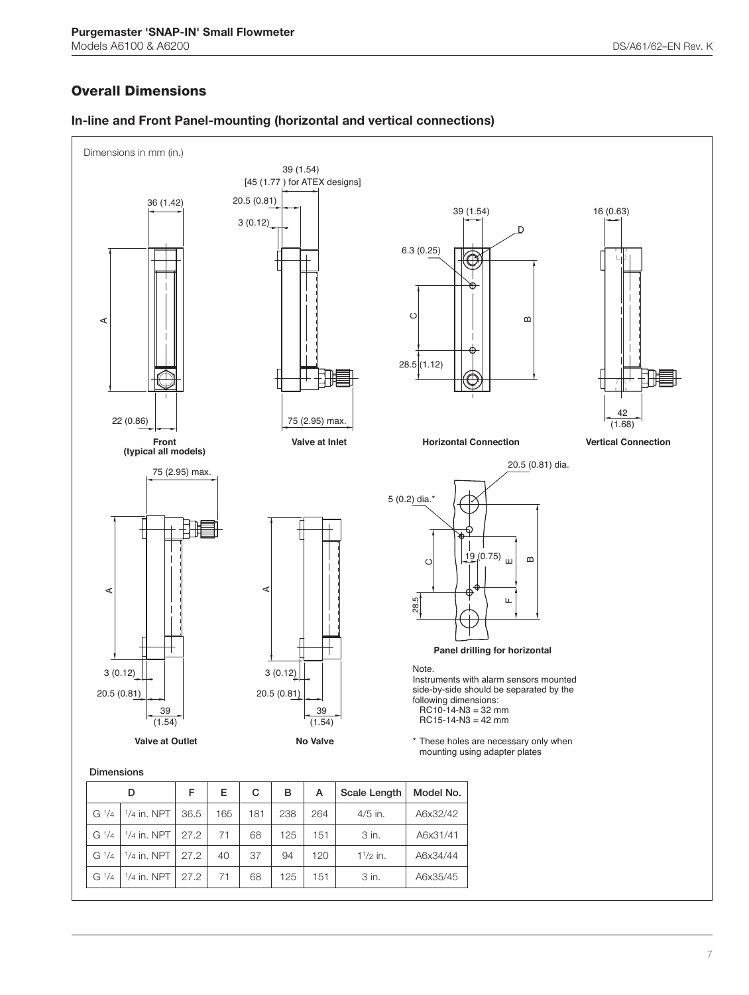## **Overall Dimensions**

G  $\frac{1}{4}$   $\mid$   $\frac{1}{4}$ 



## **In-line and Front Panel-mounting (horizontal and vertical connections)**

 $1/4$  in. NPT | 27.2 | 71 | 68 | 125 | 151 | 3 in. | A6x35/45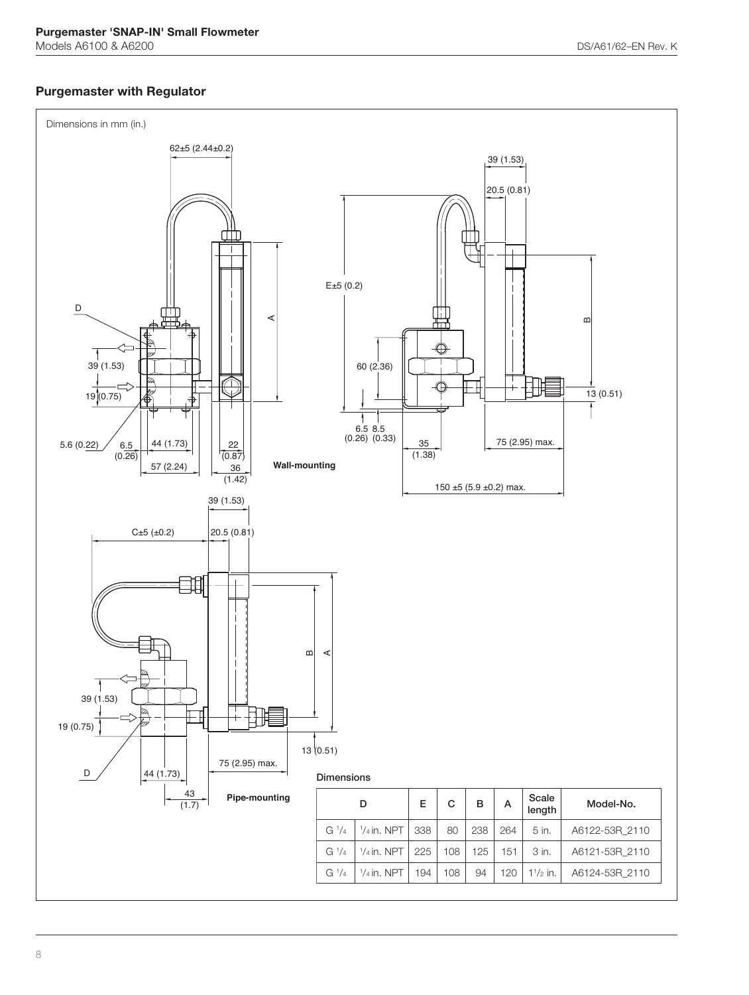## **Purgemaster with Regulator**

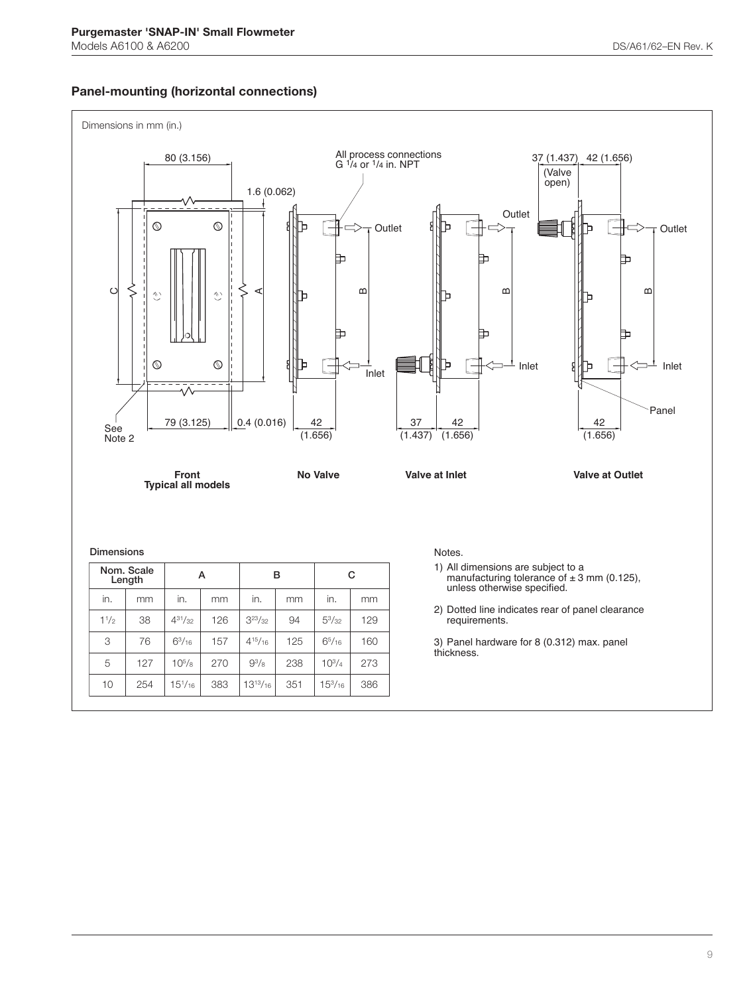## **Panel-mounting (horizontal connections)**

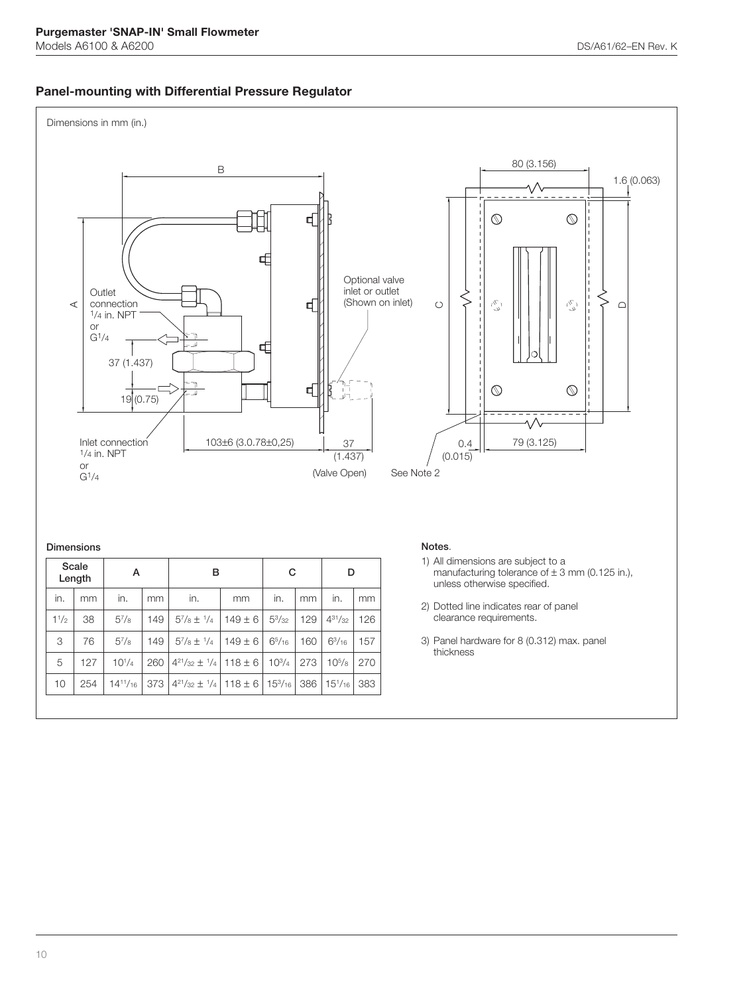## **Panel-mounting with Differential Pressure Regulator**

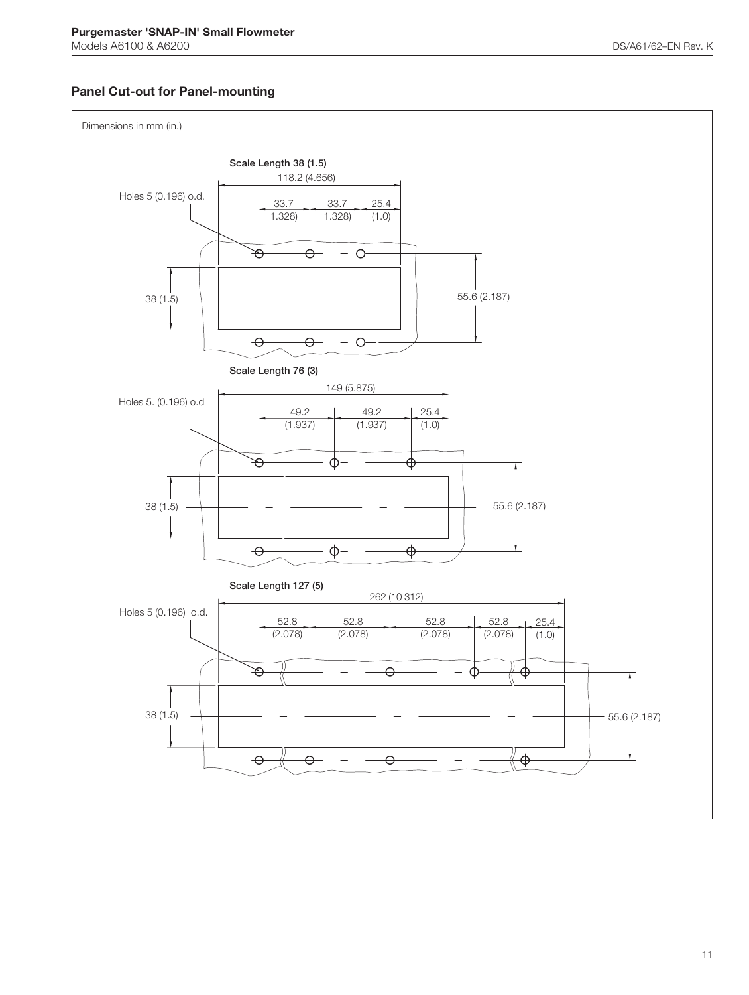## **Panel Cut-out for Panel-mounting**

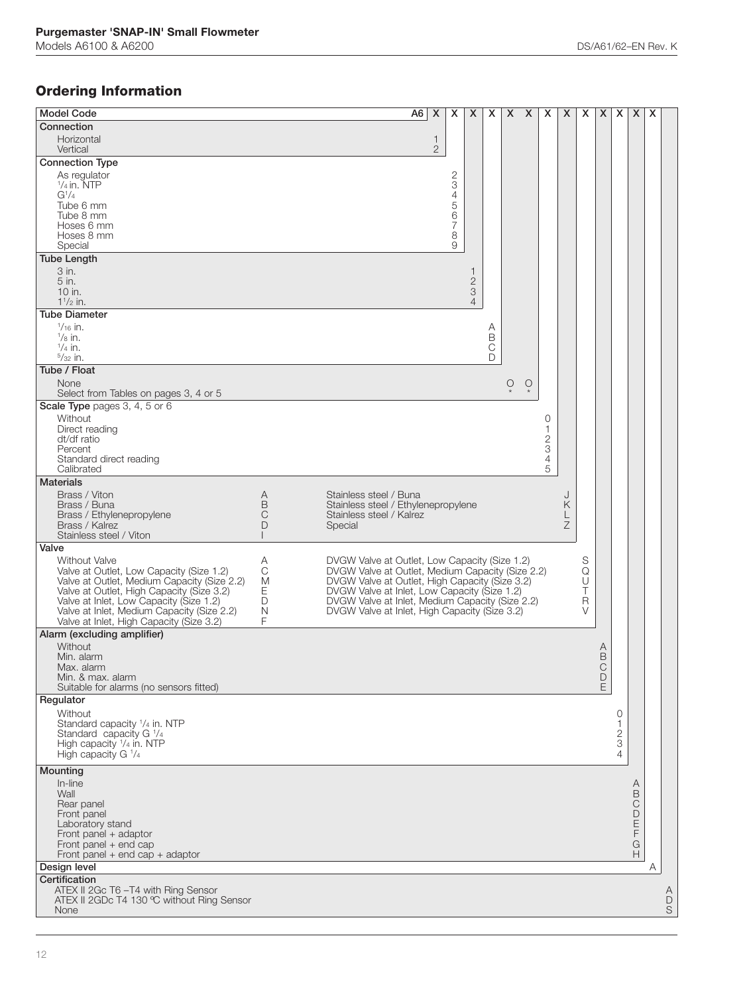## **Ordering Information**

| <b>Model Code</b>                                                                       |                  |                                                                                                | $A6 \mid X$ |              | X      | X              | X           | $X$ $X$      |   | X                                          | X      | X      | X                | x                   | X      | X |                  |
|-----------------------------------------------------------------------------------------|------------------|------------------------------------------------------------------------------------------------|-------------|--------------|--------|----------------|-------------|--------------|---|--------------------------------------------|--------|--------|------------------|---------------------|--------|---|------------------|
| Connection                                                                              |                  |                                                                                                |             |              |        |                |             |              |   |                                            |        |        |                  |                     |        |   |                  |
| Horizontal                                                                              |                  |                                                                                                |             | 1            |        |                |             |              |   |                                            |        |        |                  |                     |        |   |                  |
| Vertical                                                                                |                  |                                                                                                |             | $\mathbf{2}$ |        |                |             |              |   |                                            |        |        |                  |                     |        |   |                  |
| <b>Connection Type</b>                                                                  |                  |                                                                                                |             |              |        |                |             |              |   |                                            |        |        |                  |                     |        |   |                  |
| As regulator                                                                            |                  |                                                                                                |             |              | 2      |                |             |              |   |                                            |        |        |                  |                     |        |   |                  |
| $1/4$ in. NTP                                                                           |                  |                                                                                                |             |              | 3      |                |             |              |   |                                            |        |        |                  |                     |        |   |                  |
| $G^{1/4}$<br>Tube 6 mm                                                                  |                  |                                                                                                |             |              | 4<br>5 |                |             |              |   |                                            |        |        |                  |                     |        |   |                  |
| Tube 8 mm                                                                               |                  |                                                                                                |             |              | 6      |                |             |              |   |                                            |        |        |                  |                     |        |   |                  |
| Hoses 6 mm                                                                              |                  |                                                                                                |             |              | 7      |                |             |              |   |                                            |        |        |                  |                     |        |   |                  |
| Hoses 8 mm<br>Special                                                                   |                  |                                                                                                |             |              | 8<br>9 |                |             |              |   |                                            |        |        |                  |                     |        |   |                  |
| <b>Tube Length</b>                                                                      |                  |                                                                                                |             |              |        |                |             |              |   |                                            |        |        |                  |                     |        |   |                  |
| 3 in.                                                                                   |                  |                                                                                                |             |              |        | 1              |             |              |   |                                            |        |        |                  |                     |        |   |                  |
| 5 in.                                                                                   |                  |                                                                                                |             |              |        | $\mathbf{2}$   |             |              |   |                                            |        |        |                  |                     |        |   |                  |
| 10 in.                                                                                  |                  |                                                                                                |             |              |        | 3              |             |              |   |                                            |        |        |                  |                     |        |   |                  |
| $1^{1}/2$ in.                                                                           |                  |                                                                                                |             |              |        | $\overline{4}$ |             |              |   |                                            |        |        |                  |                     |        |   |                  |
| <b>Tube Diameter</b><br>$\frac{1}{16}$ in.                                              |                  |                                                                                                |             |              |        |                |             |              |   |                                            |        |        |                  |                     |        |   |                  |
| $\frac{1}{8}$ in.                                                                       |                  |                                                                                                |             |              |        |                | Α<br>B      |              |   |                                            |        |        |                  |                     |        |   |                  |
| $\frac{1}{4}$ in.                                                                       |                  |                                                                                                |             |              |        |                | $\mathsf C$ |              |   |                                            |        |        |                  |                     |        |   |                  |
| $5/32$ in.                                                                              |                  |                                                                                                |             |              |        |                | D           |              |   |                                            |        |        |                  |                     |        |   |                  |
| Tube / Float                                                                            |                  |                                                                                                |             |              |        |                |             |              |   |                                            |        |        |                  |                     |        |   |                  |
| None<br>Select from Tables on pages 3, 4 or 5                                           |                  |                                                                                                |             |              |        |                |             | $\bigcirc_*$ | O |                                            |        |        |                  |                     |        |   |                  |
| Scale Type pages 3, 4, 5 or 6                                                           |                  |                                                                                                |             |              |        |                |             |              |   |                                            |        |        |                  |                     |        |   |                  |
| Without                                                                                 |                  |                                                                                                |             |              |        |                |             |              |   | 0                                          |        |        |                  |                     |        |   |                  |
| Direct reading                                                                          |                  |                                                                                                |             |              |        |                |             |              |   | 1                                          |        |        |                  |                     |        |   |                  |
| dt/df ratio                                                                             |                  |                                                                                                |             |              |        |                |             |              |   |                                            |        |        |                  |                     |        |   |                  |
| Percent<br>Standard direct reading                                                      |                  |                                                                                                |             |              |        |                |             |              |   | $\begin{array}{c} 2 \\ 3 \\ 4 \end{array}$ |        |        |                  |                     |        |   |                  |
| Calibrated                                                                              |                  |                                                                                                |             |              |        |                |             |              |   | 5                                          |        |        |                  |                     |        |   |                  |
| <b>Materials</b>                                                                        |                  |                                                                                                |             |              |        |                |             |              |   |                                            |        |        |                  |                     |        |   |                  |
| Brass / Viton                                                                           | Α                | Stainless steel / Buna                                                                         |             |              |        |                |             |              |   |                                            |        |        |                  |                     |        |   |                  |
| Brass / Buna                                                                            | B                | Stainless steel / Ethylenepropylene                                                            |             |              |        |                |             |              |   |                                            | Κ      |        |                  |                     |        |   |                  |
| Brass / Ethylenepropylene<br>Brass / Kalrez                                             | C<br>D           | Stainless steel / Kalrez<br>Special                                                            |             |              |        |                |             |              |   |                                            | L<br>Ζ |        |                  |                     |        |   |                  |
| Stainless steel / Viton                                                                 |                  |                                                                                                |             |              |        |                |             |              |   |                                            |        |        |                  |                     |        |   |                  |
| Valve                                                                                   |                  |                                                                                                |             |              |        |                |             |              |   |                                            |        |        |                  |                     |        |   |                  |
| Without Valve                                                                           | Α                | DVGW Valve at Outlet, Low Capacity (Size 1.2)                                                  |             |              |        |                |             |              |   |                                            |        | S      |                  |                     |        |   |                  |
| Valve at Outlet, Low Capacity (Size 1.2)<br>Valve at Outlet, Medium Capacity (Size 2.2) | $\mathsf C$<br>M | DVGW Valve at Outlet, Medium Capacity (Size 2.2)                                               |             |              |        |                |             |              |   |                                            |        | Q<br>U |                  |                     |        |   |                  |
| Valve at Outlet, High Capacity (Size 3.2)                                               | Ε                | DVGW Valve at Outlet, High Capacity (Size 3.2)<br>DVGW Valve at Inlet, Low Capacity (Size 1.2) |             |              |        |                |             |              |   |                                            |        | T      |                  |                     |        |   |                  |
| Valve at Inlet, Low Capacity (Size 1.2)                                                 | D                | DVGW Valve at Inlet, Medium Capacity (Size 2.2)                                                |             |              |        |                |             |              |   |                                            |        | R      |                  |                     |        |   |                  |
| Valve at Inlet, Medium Capacity (Size 2.2)                                              | N<br>F           | DVGW Valve at Inlet, High Capacity (Size 3.2)                                                  |             |              |        |                |             |              |   |                                            |        | V      |                  |                     |        |   |                  |
| Valve at Inlet, High Capacity (Size 3.2)<br>Alarm (excluding amplifier)                 |                  |                                                                                                |             |              |        |                |             |              |   |                                            |        |        |                  |                     |        |   |                  |
| Without                                                                                 |                  |                                                                                                |             |              |        |                |             |              |   |                                            |        |        |                  |                     |        |   |                  |
| Min. alarm                                                                              |                  |                                                                                                |             |              |        |                |             |              |   |                                            |        |        | B                |                     |        |   |                  |
| Max. alarm                                                                              |                  |                                                                                                |             |              |        |                |             |              |   |                                            |        |        | $\mathsf{C}$     |                     |        |   |                  |
| Min. & max. alarm<br>Suitable for alarms (no sensors fitted)                            |                  |                                                                                                |             |              |        |                |             |              |   |                                            |        |        | $\mathsf D$<br>E |                     |        |   |                  |
| Regulator                                                                               |                  |                                                                                                |             |              |        |                |             |              |   |                                            |        |        |                  |                     |        |   |                  |
| Without                                                                                 |                  |                                                                                                |             |              |        |                |             |              |   |                                            |        |        |                  | 0                   |        |   |                  |
| Standard capacity 1/4 in. NTP                                                           |                  |                                                                                                |             |              |        |                |             |              |   |                                            |        |        |                  | 1                   |        |   |                  |
| Standard capacity G 1/4                                                                 |                  |                                                                                                |             |              |        |                |             |              |   |                                            |        |        |                  | $\mathbf{2}$        |        |   |                  |
| High capacity 1/4 in. NTP<br>High capacity G 1/4                                        |                  |                                                                                                |             |              |        |                |             |              |   |                                            |        |        |                  | 3<br>$\overline{4}$ |        |   |                  |
|                                                                                         |                  |                                                                                                |             |              |        |                |             |              |   |                                            |        |        |                  |                     |        |   |                  |
| Mounting                                                                                |                  |                                                                                                |             |              |        |                |             |              |   |                                            |        |        |                  |                     |        |   |                  |
| In-line<br>Wall                                                                         |                  |                                                                                                |             |              |        |                |             |              |   |                                            |        |        |                  |                     | A<br>B |   |                  |
| Rear panel                                                                              |                  |                                                                                                |             |              |        |                |             |              |   |                                            |        |        |                  |                     | C      |   |                  |
| Front panel                                                                             |                  |                                                                                                |             |              |        |                |             |              |   |                                            |        |        |                  |                     | D      |   |                  |
| Laboratory stand                                                                        |                  |                                                                                                |             |              |        |                |             |              |   |                                            |        |        |                  |                     | Ε<br>F |   |                  |
| Front panel $+$ adaptor<br>Front panel + end cap                                        |                  |                                                                                                |             |              |        |                |             |              |   |                                            |        |        |                  |                     | G      |   |                  |
| Front panel $+$ end cap $+$ adaptor                                                     |                  |                                                                                                |             |              |        |                |             |              |   |                                            |        |        |                  |                     | Н      |   |                  |
| Design level                                                                            |                  |                                                                                                |             |              |        |                |             |              |   |                                            |        |        |                  |                     |        | A |                  |
| Certification                                                                           |                  |                                                                                                |             |              |        |                |             |              |   |                                            |        |        |                  |                     |        |   |                  |
| ATEX II 2Gc T6-T4 with Ring Sensor<br>ATEX II 2GDc T4 130 ℃ without Ring Sensor         |                  |                                                                                                |             |              |        |                |             |              |   |                                            |        |        |                  |                     |        |   | A<br>$\mathsf D$ |
| None                                                                                    |                  |                                                                                                |             |              |        |                |             |              |   |                                            |        |        |                  |                     |        |   | $\mathsf S$      |
|                                                                                         |                  |                                                                                                |             |              |        |                |             |              |   |                                            |        |        |                  |                     |        |   |                  |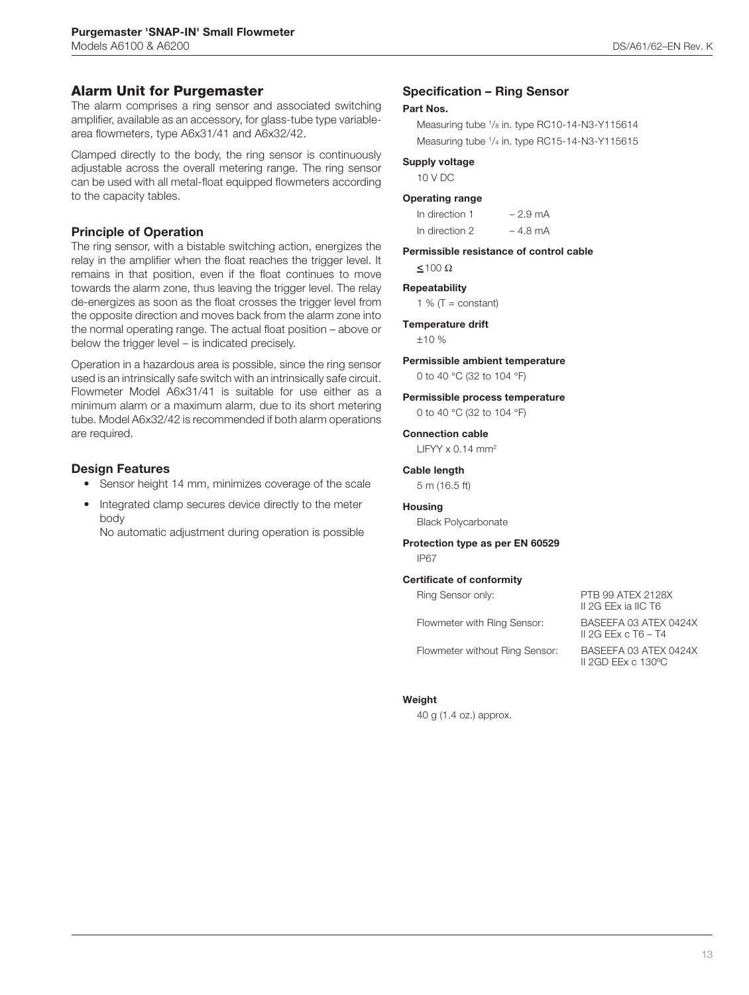### **Alarm Unit for Purgemaster**

The alarm comprises a ring sensor and associated switching amplifier, available as an accessory, for glass-tube type variablearea flowmeters, type A6x31/41 and A6x32/42.

Clamped directly to the body, the ring sensor is continuously adjustable across the overall metering range. The ring sensor can be used with all metal-float equipped flowmeters according to the capacity tables.

### **Principle of Operation**

The ring sensor, with a bistable switching action, energizes the relay in the amplifier when the float reaches the trigger level. It remains in that position, even if the float continues to move towards the alarm zone, thus leaving the trigger level. The relay de-energizes as soon as the float crosses the trigger level from the opposite direction and moves back from the alarm zone into the normal operating range. The actual float position – above or below the trigger level – is indicated precisely.

Operation in a hazardous area is possible, since the ring sensor used is an intrinsically safe switch with an intrinsically safe circuit. Flowmeter Model A6x31/41 is suitable for use either as a minimum alarm or a maximum alarm, due to its short metering tube. Model A6x32/42 is recommended if both alarm operations are required.

### **Design Features**

- Sensor height 14 mm, minimizes coverage of the scale
- Integrated clamp secures device directly to the meter body

No automatic adjustment during operation is possible

### **Specification – Ring Sensor**

### **Part Nos.**

Measuring tube 1/8 in. type RC10-14-N3-Y115614 Measuring tube 1/4 in. type RC15-14-N3-Y115615

### **Supply voltage**

10 V DC

### **Operating range**

| In direction 1 | $-2.9 \text{ mA}$ |
|----------------|-------------------|
| In direction 2 | $-4.8$ mA         |

**Permissible resistance of control cable**  $\leq 100 \Omega$ 

### **Repeatability**

1 %  $(T = constant)$ 

#### **Temperature drift**

 $+10%$ 

### **Permissible ambient temperature**

0 to 40 °C (32 to 104 °F)

### **Permissible process temperature**

0 to 40 °C (32 to 104 °F)

### **Connection cable**

 $LIFYY \times 0.14$  mm<sup>2</sup>

### **Cable length**

5 m (16.5 ft)

### **Housing**

Black Polycarbonate

### **Protection type as per EN 60529** IP67

#### **Certificate of conformity**

| Ring Sensor only:              | PTB 99 ATEX 2128X<br>II 2G EEx ia IIC T6       |
|--------------------------------|------------------------------------------------|
| Flowmeter with Ring Sensor:    | BASEEFA 03 ATEX 0424X<br>II 2G EEx c $T6 - T4$ |
| Flowmeter without Ring Sensor: | BASEEEA 03 ATEX 0424X                          |

II 2GD EEx c 130ºC

ter without Ring Ser!

### **Weight**

40 g (1.4 oz.) approx.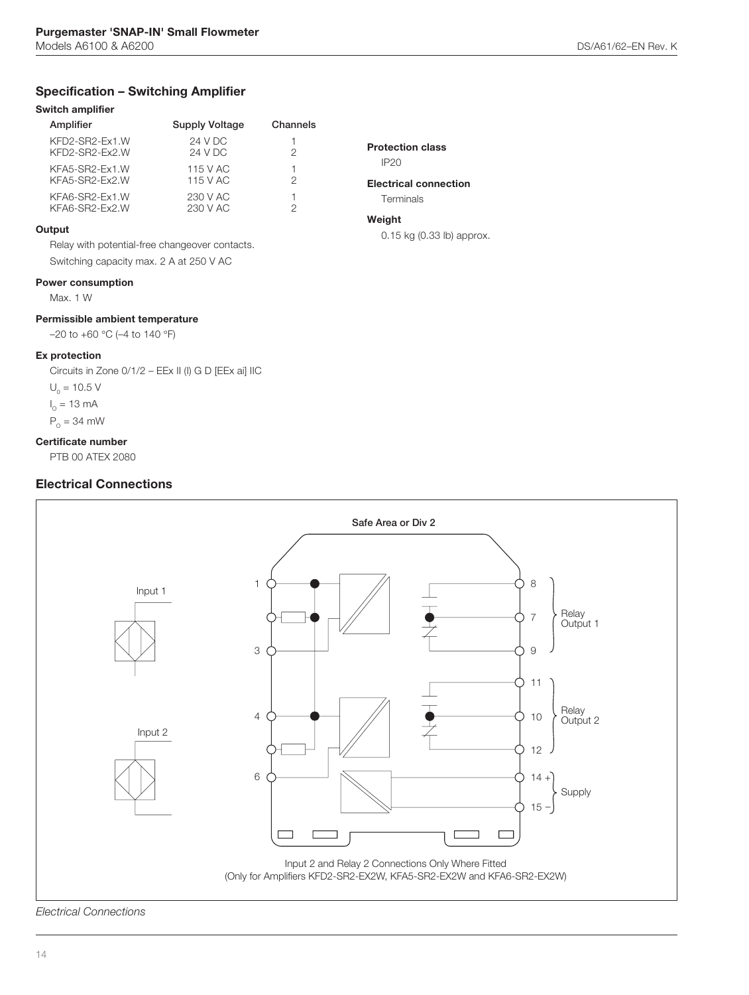## **Specification – Switching Amplifier**

### **Switch amplifier**

| Amplifier                        | <b>Supply Voltage</b> | Channels |
|----------------------------------|-----------------------|----------|
| KFD2-SR2-Ex1.W<br>KFD2-SR2-Ex2.W | 24 V DC<br>24 V DC    | 2        |
| KFA5-SR2-Ex1.W<br>KFA5-SR2-Ex2.W | 115 V AC<br>115 V AC  | 2        |
| KFA6-SR2-Ex1.W<br>KFA6-SR2-Ex2.W | 230 V AC<br>230 V AC  | 2        |

### **Output**

Relay with potential-free changeover contacts. Switching capacity max. 2 A at 250 V AC

### **Power consumption**

Max. 1 W

### **Permissible ambient temperature**

–20 to +60 °C (–4 to 140 °F)

### **Ex protection**

Circuits in Zone 0/1/2 – EEx II (I) G D [EEx ai] IIC

 $U_0 = 10.5 V$  $I_{\circ}$  = 13 mA

 $P_{\circ}$  = 34 mW

### **Certificate number**

PTB 00 ATEX 2080

### **Electrical Connections**



### **Electrical connection**

**Terminals** 

## **Weight**

0.15 kg (0.33 lb) approx.



*Electrical Connections*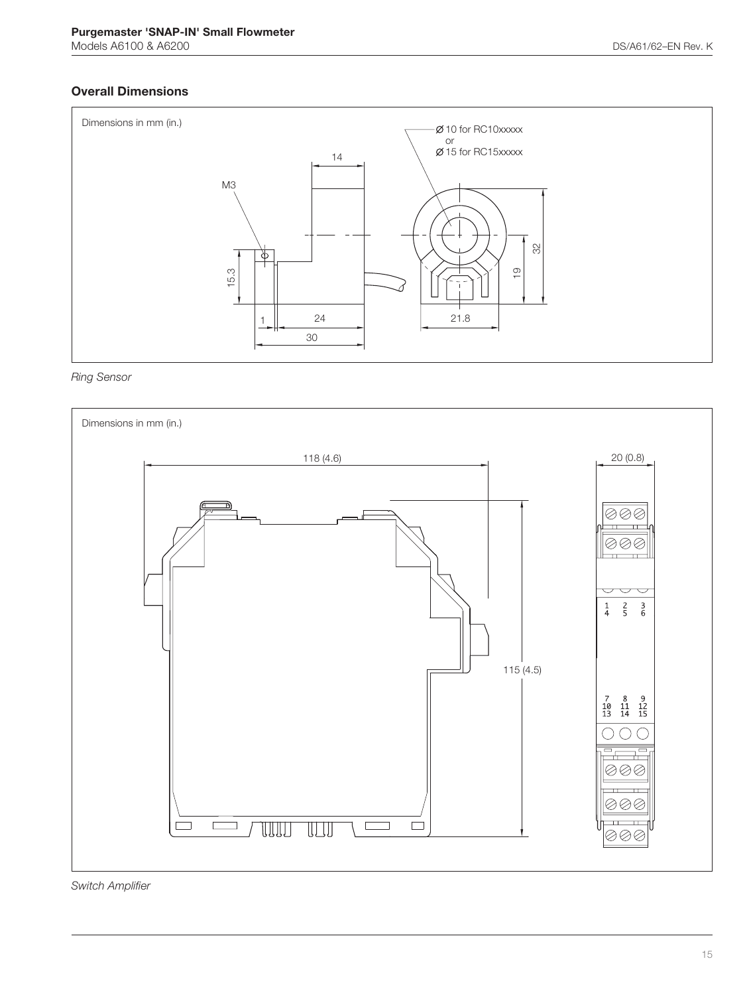## **Overall Dimensions**



*Ring Sensor*



*Switch Amplifier*